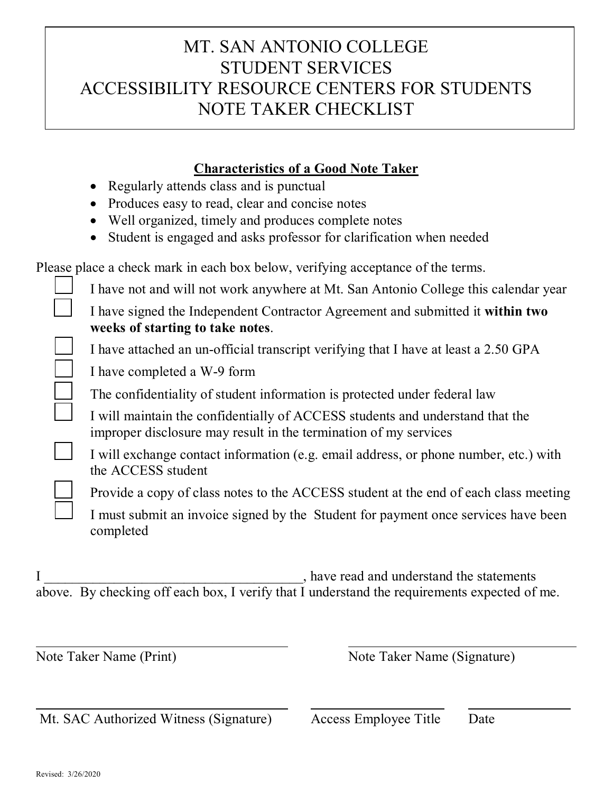# MT. SAN ANTONIO COLLEGE STUDENT SERVICES ACCESSIBILITY RESOURCE CENTERS FOR STUDENTS NOTE TAKER CHECKLIST

## **Characteristics of a Good Note Taker**

- Regularly attends class and is punctual
- Produces easy to read, clear and concise notes
- Well organized, timely and produces complete notes
- Student is engaged and asks professor for clarification when needed

Please place a check mark in each box below, verifying acceptance of the terms.

I have not and will not work anywhere at Mt. San Antonio College this calendar year

 I have signed the Independent Contractor Agreement and submitted it **within two weeks of starting to take notes**.

I have attached an un-official transcript verifying that I have at least a 2.50 GPA

I have completed a W-9 form

The confidentiality of student information is protected under federal law

 I will maintain the confidentially of ACCESS students and understand that the improper disclosure may result in the termination of my services

 the ACCESS student I will exchange contact information (e.g. email address, or phone number, etc.) with

Provide a copy of class notes to the ACCESS student at the end of each class meeting

 I must submit an invoice signed by the Student for payment once services have been completed

 above. By checking off each box, I verify that I understand the requirements expected of me. , have read and understand the statements

Note Taker Name (Print)

Note Taker Name (Signature)

Mt. SAC Authorized Witness (Signature) Access Employee Title Date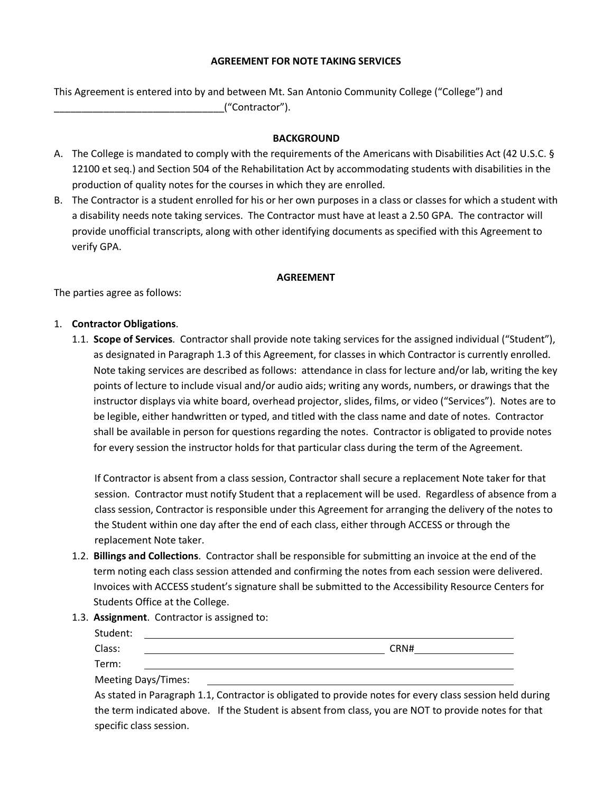#### **AGREEMENT FOR NOTE TAKING SERVICES**

This Agreement is entered into by and between Mt. San Antonio Community College ("College") and \_\_\_\_\_\_\_\_\_\_\_\_\_\_\_\_\_\_\_\_\_\_\_\_\_\_\_\_\_\_\_("Contractor").

#### **BACKGROUND**

- A. The College is mandated to comply with the requirements of the Americans with Disabilities Act (42 U.S.C. § 12100 et seq.) and Section 504 of the Rehabilitation Act by accommodating students with disabilities in the production of quality notes for the courses in which they are enrolled.
- a disability needs note taking services. The Contractor must have at least a 2.50 GPA. The contractor will B. The Contractor is a student enrolled for his or her own purposes in a class or classes for which a student with provide unofficial transcripts, along with other identifying documents as specified with this Agreement to verify GPA.

#### **AGREEMENT**

The parties agree as follows:

### 1. **Contractor Obligations**.

as designated in Paragraph 1.3 of this Agreement, for classes in which Contractor is currently enrolled.<br>Note taking services are described as follows: attendance in class for lecture and/or lab, writing the key points of lecture to include visual and/or audio aids; writing any words, numbers, or drawings that the be legible, either handwritten or typed, and titled with the class name and date of notes. Contractor 1.1. **Scope of Services**. Contractor shall provide note taking services for the assigned individual ("Student"), instructor displays via white board, overhead projector, slides, films, or video ("Services"). Notes are to shall be available in person for questions regarding the notes. Contractor is obligated to provide notes for every session the instructor holds for that particular class during the term of the Agreement.

 class session, Contractor is responsible under this Agreement for arranging the delivery of the notes to the Student within one day after the end of each class, either through ACCESS or through the replacement Note taker. If Contractor is absent from a class session, Contractor shall secure a replacement Note taker for that session. Contractor must notify Student that a replacement will be used. Regardless of absence from a

- term noting each class session attended and confirming the notes from each session were delivered.<br>Invoices with ACCESS student's signature shall be submitted to the Accessibility Resource Centers for 1.2. **Billings and Collections**. Contractor shall be responsible for submitting an invoice at the end of the Students Office at the College.
- 1.3. **Assignment**. Contractor is assigned to:

| Student:                   |      |
|----------------------------|------|
| Class:                     | CRN# |
| Term:                      |      |
| <b>Meeting Days/Times:</b> |      |

 the term indicated above. If the Student is absent from class, you are NOT to provide notes for that As stated in Paragraph 1.1, Contractor is obligated to provide notes for every class session held during specific class session.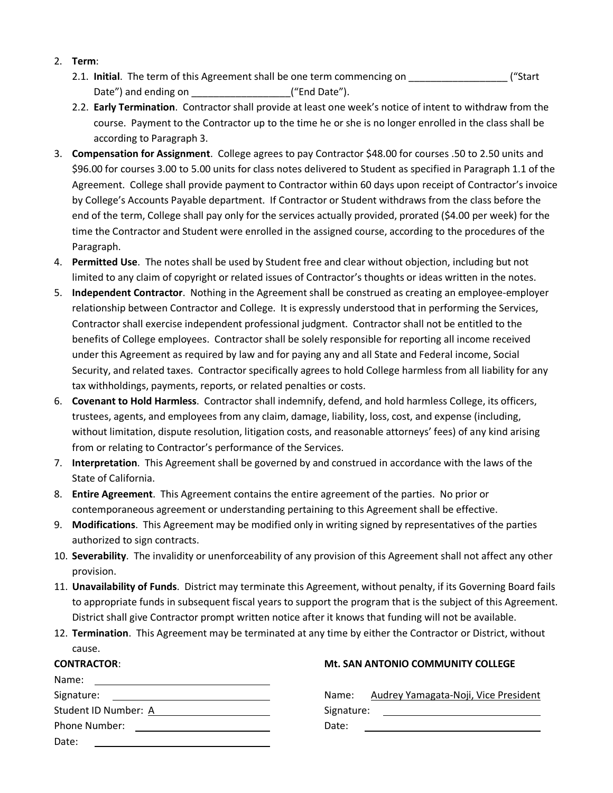- 2. **Term**:
	- 2.1. **Initial**. The term of this Agreement shall be one term commencing on \_\_\_\_\_\_\_\_\_\_\_\_\_\_\_\_\_\_ ("Start Date") and ending on  $($ "End Date").
	- course. Payment to the Contractor up to the time he or she is no longer enrolled in the class shall be 2.2. **Early Termination**. Contractor shall provide at least one week's notice of intent to withdraw from the according to Paragraph 3.
- time the Contractor and Student were enrolled in the assigned course, according to the procedures of the 3. **Compensation for Assignment**. College agrees to pay Contractor \$48.00 for courses .50 to 2.50 units and \$96.00 for courses 3.00 to 5.00 units for class notes delivered to Student as specified in Paragraph 1.1 of the Agreement. College shall provide payment to Contractor within 60 days upon receipt of Contractor's invoice by College's Accounts Payable department. If Contractor or Student withdraws from the class before the end of the term, College shall pay only for the services actually provided, prorated (\$4.00 per week) for the Paragraph.
- 4. **Permitted Use**. The notes shall be used by Student free and clear without objection, including but not limited to any claim of copyright or related issues of Contractor's thoughts or ideas written in the notes.
- 5. **Independent Contractor**. Nothing in the Agreement shall be construed as creating an employee-employer relationship between Contractor and College. It is expressly understood that in performing the Services, Contractor shall exercise independent professional judgment. Contractor shall not be entitled to the benefits of College employees. Contractor shall be solely responsible for reporting all income received under this Agreement as required by law and for paying any and all State and Federal income, Social Security, and related taxes. Contractor specifically agrees to hold College harmless from all liability for any tax withholdings, payments, reports, or related penalties or costs.
- 6. **Covenant to Hold Harmless**. Contractor shall indemnify, defend, and hold harmless College, its officers, trustees, agents, and employees from any claim, damage, liability, loss, cost, and expense (including, without limitation, dispute resolution, litigation costs, and reasonable attorneys' fees) of any kind arising from or relating to Contractor's performance of the Services.
- 7. **Interpretation**. This Agreement shall be governed by and construed in accordance with the laws of the State of California.
- 8. **Entire Agreement**. This Agreement contains the entire agreement of the parties. No prior or contemporaneous agreement or understanding pertaining to this Agreement shall be effective.
- 9. **Modifications**. This Agreement may be modified only in writing signed by representatives of the parties authorized to sign contracts.
- 10. **Severability**. The invalidity or unenforceability of any provision of this Agreement shall not affect any other provision.
- to appropriate funds in subsequent fiscal years to support the program that is the subject of this Agreement. 11. **Unavailability of Funds**. District may terminate this Agreement, without penalty, if its Governing Board fails District shall give Contractor prompt written notice after it knows that funding will not be available.
- 12. **Termination**. This Agreement may be terminated at any time by either the Contractor or District, without cause.

#### **CONTRACTOR**:

| <b>CONTRACTOR:</b>                                                                                                                     | <b>Mt. SAN ANTONIO COMMUNITY COLLEGE</b>                                                                                            |
|----------------------------------------------------------------------------------------------------------------------------------------|-------------------------------------------------------------------------------------------------------------------------------------|
| Name:<br><u> 1980 - Jan Samuel Barbara, margaret e populazion del control del control del control del control de la provi</u>          |                                                                                                                                     |
| Signature:<br><u> Alexandro Alexandro de Alexandro de Alexandro de Alexandro de Alexandro de Alexandro de Alexandro de Alexandro </u>  | Audrey Yamagata-Noji, Vice Pres<br>Name:                                                                                            |
| Student ID Number: A                                                                                                                   | Signature:<br><u> 1980 - Johann Harry Harry Harry Harry Harry Harry Harry Harry Harry Harry Harry Harry Harry Harry Harry Harry</u> |
| Phone Number:<br><u> 1989 - Jan Sterlinger, skriuwer fan it ferstjer fan it ferstjer fan it ferstjer fan it ferstjer fan it ferstj</u> | Date:                                                                                                                               |
| Date:                                                                                                                                  |                                                                                                                                     |

| Name:      | Audrey Yamagata-Noji, Vice President |
|------------|--------------------------------------|
| Signature: |                                      |
| Date:      |                                      |